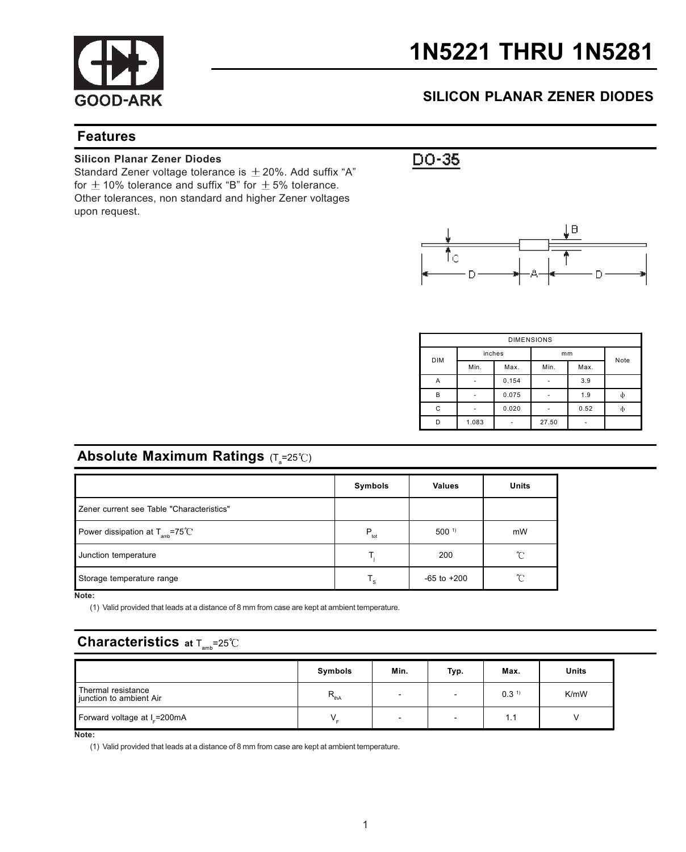

# 1N5221 THRU 1N5281

## SILICON PLANAR ZENER DIODES

### Features

#### Silicon Planar Zener Diodes

Standard Zener voltage tolerance is  $\pm$  20%. Add suffix "A" for  $\pm$  10% tolerance and suffix "B" for  $\pm$  5% tolerance. Other tolerances, non standard and higher Zener voltages upon request.



| <b>DIMENSIONS</b> |        |       |       |      |   |  |
|-------------------|--------|-------|-------|------|---|--|
| <b>DIM</b>        | inches |       | mm    | Note |   |  |
|                   | Min.   | Max.  | Min.  | Max. |   |  |
| A                 | ٠      | 0.154 |       | 3.9  |   |  |
| B                 | -      | 0.075 |       | 1.9  | ф |  |
| C                 |        | 0.020 |       | 0.52 | ф |  |
| D                 | 1.083  |       | 27.50 |      |   |  |

## **Absolute Maximum Ratings** (T $_{\textrm{s}}$ =25℃)

|                                              | Symbols          | <b>Values</b>    | Units        |
|----------------------------------------------|------------------|------------------|--------------|
| Zener current see Table "Characteristics"    |                  |                  |              |
| Power dissipation at $T_{\text{amb}}$ =75 °C | $P_{\text{tot}}$ | 500 <sup>1</sup> | mW           |
| Junction temperature                         |                  | 200              | r            |
| Storage temperature range                    | т.               | $-65$ to $+200$  | $^{\circ}$ C |

Note:

(1) Valid provided that leads at a distance of 8 mm from case are kept at ambient temperature.

## **Characteristics** at  $T_{\text{max}}=25^{\circ}C$

|                                               | Symbols       | Min.                     | Typ. | Max.             | Units |
|-----------------------------------------------|---------------|--------------------------|------|------------------|-------|
| Thermal resistance<br>junction to ambient Air | $R_{\rm thA}$ | $\overline{\phantom{0}}$ |      | 0.3 <sup>1</sup> | K/mW  |
| Forward voltage at I_=200mA                   |               | $\overline{\phantom{a}}$ |      | 1.1              |       |

Note:

(1) Valid provided that leads at a distance of 8 mm from case are kept at ambient temperature.